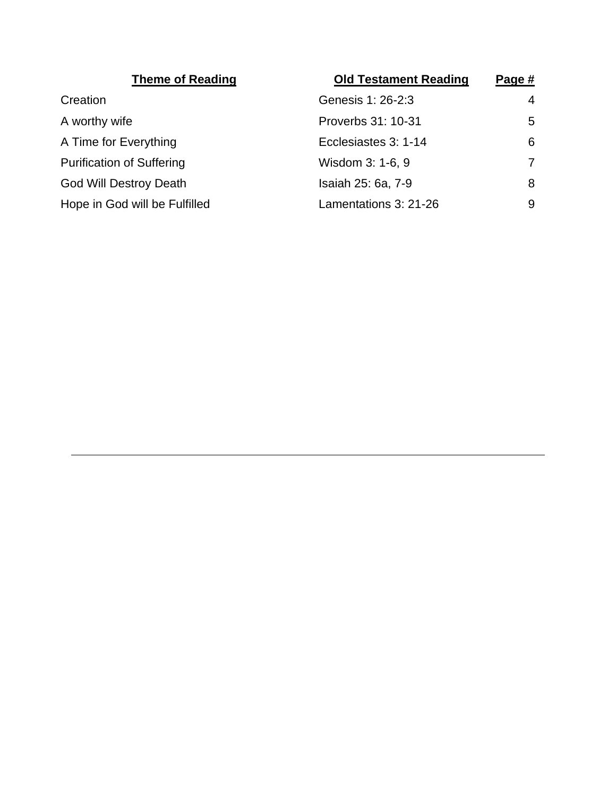| <b>Old Testament Reading</b> | Page #         |
|------------------------------|----------------|
| Genesis 1: 26-2:3            | $\overline{4}$ |
| Proverbs 31: 10-31           | 5              |
| Ecclesiastes 3: 1-14         | 6              |
| Wisdom 3: 1-6, 9             | 7              |
| Isaiah 25: 6a, 7-9           | 8              |
| Lamentations 3: 21-26        | 9              |
|                              |                |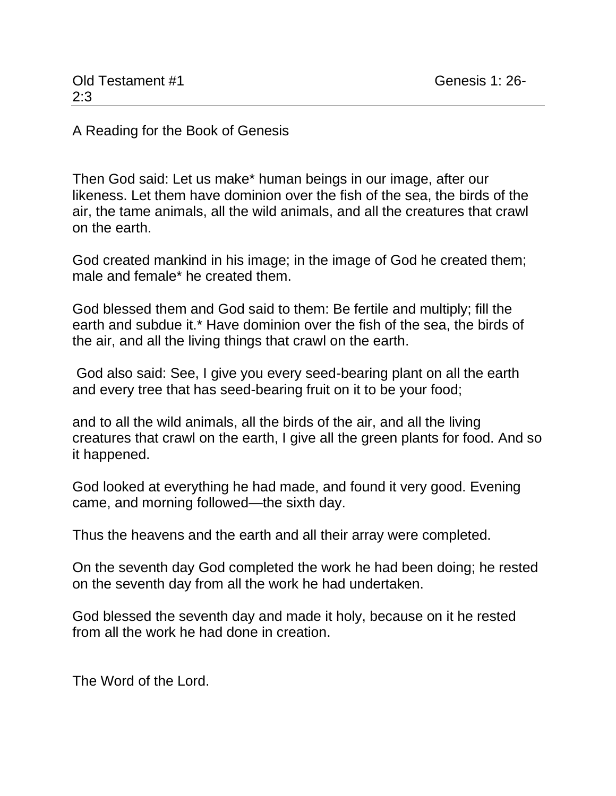A Reading for the Book of Genesis

Then God said: Let us make\* human beings in our image, after our likeness. Let them have dominion over the fish of the sea, the birds of the air, the tame animals, all the wild animals, and all the creatures that crawl on the earth.

God created mankind in his image; in the image of God he created them; male and female\* he created them.

God blessed them and God said to them: Be fertile and multiply; fill the earth and subdue it.\* Have dominion over the fish of the sea, the birds of the air, and all the living things that crawl on the earth.

God also said: See, I give you every seed-bearing plant on all the earth and every tree that has seed-bearing fruit on it to be your food;

and to all the wild animals, all the birds of the air, and all the living creatures that crawl on the earth, I give all the green plants for food. And so it happened.

God looked at everything he had made, and found it very good. Evening came, and morning followed—the sixth day.

Thus the heavens and the earth and all their array were completed.

On the seventh day God completed the work he had been doing; he rested on the seventh day from all the work he had undertaken.

God blessed the seventh day and made it holy, because on it he rested from all the work he had done in creation.

The Word of the Lord.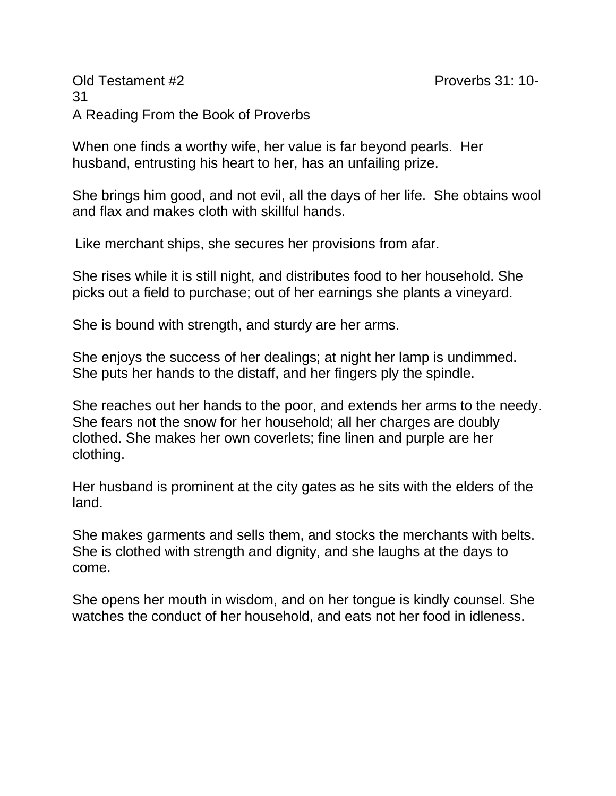When one finds a worthy wife, her value is far beyond pearls. Her husband, entrusting his heart to her, has an unfailing prize.

She brings him good, and not evil, all the days of her life. She obtains wool and flax and makes cloth with skillful hands.

Like merchant ships, she secures her provisions from afar.

She rises while it is still night, and distributes food to her household. She picks out a field to purchase; out of her earnings she plants a vineyard.

She is bound with strength, and sturdy are her arms.

She enjoys the success of her dealings; at night her lamp is undimmed. She puts her hands to the distaff, and her fingers ply the spindle.

She reaches out her hands to the poor, and extends her arms to the needy. She fears not the snow for her household; all her charges are doubly clothed. She makes her own coverlets; fine linen and purple are her clothing.

Her husband is prominent at the city gates as he sits with the elders of the land.

She makes garments and sells them, and stocks the merchants with belts. She is clothed with strength and dignity, and she laughs at the days to come.

She opens her mouth in wisdom, and on her tongue is kindly counsel. She watches the conduct of her household, and eats not her food in idleness.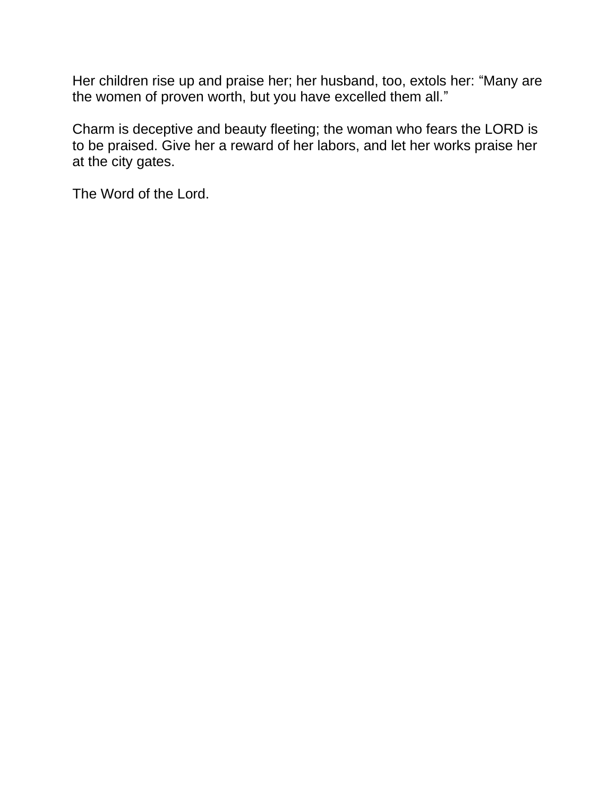Her children rise up and praise her; her husband, too, extols her: "Many are the women of proven worth, but you have excelled them all."

Charm is deceptive and beauty fleeting; the woman who fears the LORD is to be praised. Give her a reward of her labors, and let her works praise her at the city gates.

The Word of the Lord.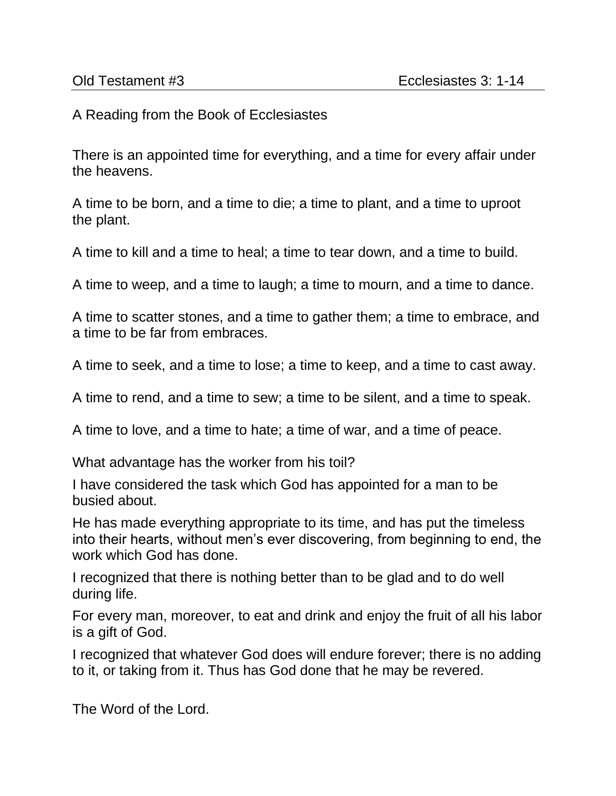A Reading from the Book of Ecclesiastes

There is an appointed time for everything, and a time for every affair under the heavens.

A time to be born, and a time to die; a time to plant, and a time to uproot the plant.

A time to kill and a time to heal; a time to tear down, and a time to build.

A time to weep, and a time to laugh; a time to mourn, and a time to dance.

A time to scatter stones, and a time to gather them; a time to embrace, and a time to be far from embraces.

A time to seek, and a time to lose; a time to keep, and a time to cast away.

A time to rend, and a time to sew; a time to be silent, and a time to speak.

A time to love, and a time to hate; a time of war, and a time of peace.

What advantage has the worker from his toil?

I have considered the task which God has appointed for a man to be busied about.

He has made everything appropriate to its time, and has put the timeless into their hearts, without men's ever discovering, from beginning to end, the work which God has done.

I recognized that there is nothing better than to be glad and to do well during life.

For every man, moreover, to eat and drink and enjoy the fruit of all his labor is a gift of God.

I recognized that whatever God does will endure forever; there is no adding to it, or taking from it. Thus has God done that he may be revered.

The Word of the Lord.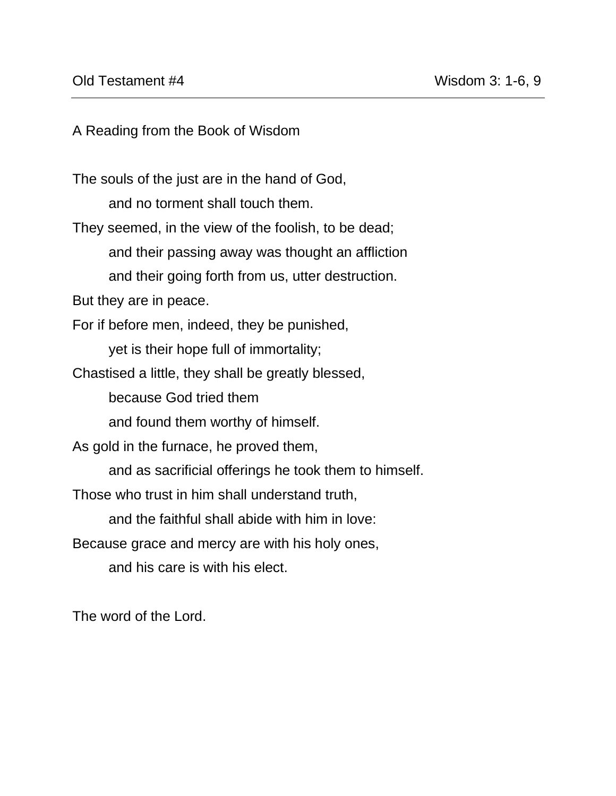A Reading from the Book of Wisdom

The souls of the just are in the hand of God, and no torment shall touch them. They seemed, in the view of the foolish, to be dead; and their passing away was thought an affliction and their going forth from us, utter destruction. But they are in peace. For if before men, indeed, they be punished, yet is their hope full of immortality; Chastised a little, they shall be greatly blessed, because God tried them and found them worthy of himself. As gold in the furnace, he proved them, and as sacrificial offerings he took them to himself. Those who trust in him shall understand truth, and the faithful shall abide with him in love: Because grace and mercy are with his holy ones, and his care is with his elect.

The word of the Lord.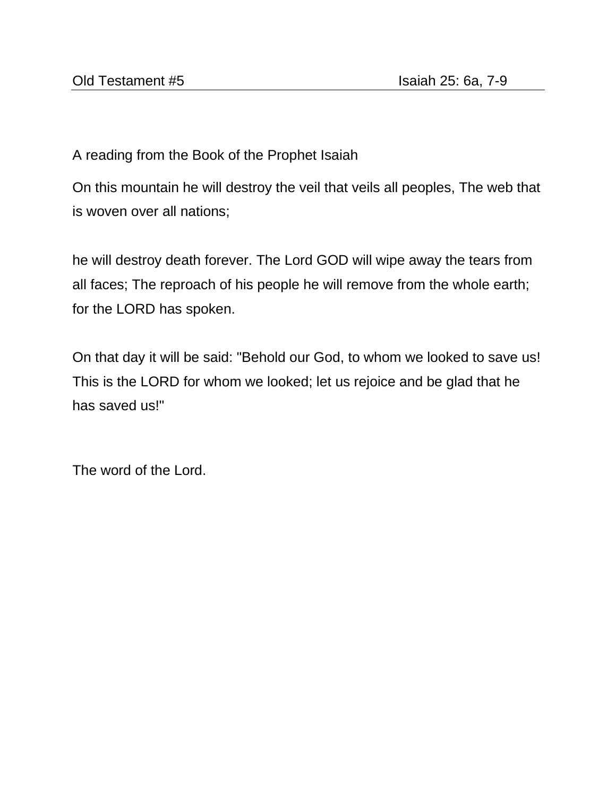A reading from the Book of the Prophet Isaiah

On this mountain he will destroy the veil that veils all peoples, The web that is woven over all nations;

he will destroy death forever. The Lord GOD will wipe away the tears from all faces; The reproach of his people he will remove from the whole earth; for the LORD has spoken.

On that day it will be said: "Behold our God, to whom we looked to save us! This is the LORD for whom we looked; let us rejoice and be glad that he has saved us!"

The word of the Lord.